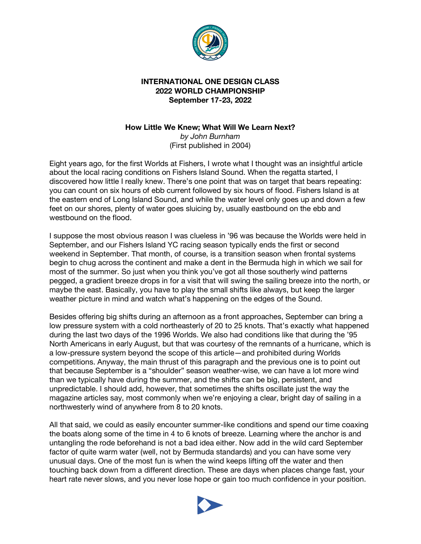

## **INTERNATIONAL ONE DESIGN CLASS 2022 WORLD CHAMPIONSHIP September 17-23, 2022**

## **How Little We Knew; What Will We Learn Next?** *by John Burnham* (First published in 2004)

Eight years ago, for the first Worlds at Fishers, I wrote what I thought was an insightful article about the local racing conditions on Fishers Island Sound. When the regatta started, I discovered how little I really knew. There's one point that was on target that bears repeating: you can count on six hours of ebb current followed by six hours of flood. Fishers Island is at the eastern end of Long Island Sound, and while the water level only goes up and down a few feet on our shores, plenty of water goes sluicing by, usually eastbound on the ebb and westbound on the flood.

I suppose the most obvious reason I was clueless in '96 was because the Worlds were held in September, and our Fishers Island YC racing season typically ends the first or second weekend in September. That month, of course, is a transition season when frontal systems begin to chug across the continent and make a dent in the Bermuda high in which we sail for most of the summer. So just when you think you've got all those southerly wind patterns pegged, a gradient breeze drops in for a visit that will swing the sailing breeze into the north, or maybe the east. Basically, you have to play the small shifts like always, but keep the larger weather picture in mind and watch what's happening on the edges of the Sound.

Besides offering big shifts during an afternoon as a front approaches, September can bring a low pressure system with a cold northeasterly of 20 to 25 knots. That's exactly what happened during the last two days of the 1996 Worlds. We also had conditions like that during the '95 North Americans in early August, but that was courtesy of the remnants of a hurricane, which is a low-pressure system beyond the scope of this article—and prohibited during Worlds competitions. Anyway, the main thrust of this paragraph and the previous one is to point out that because September is a "shoulder" season weather-wise, we can have a lot more wind than we typically have during the summer, and the shifts can be big, persistent, and unpredictable. I should add, however, that sometimes the shifts oscillate just the way the magazine articles say, most commonly when we're enjoying a clear, bright day of sailing in a northwesterly wind of anywhere from 8 to 20 knots.

All that said, we could as easily encounter summer-like conditions and spend our time coaxing the boats along some of the time in 4 to 6 knots of breeze. Learning where the anchor is and untangling the rode beforehand is not a bad idea either. Now add in the wild card September factor of quite warm water (well, not by Bermuda standards) and you can have some very unusual days. One of the most fun is when the wind keeps lifting off the water and then touching back down from a different direction. These are days when places change fast, your heart rate never slows, and you never lose hope or gain too much confidence in your position.